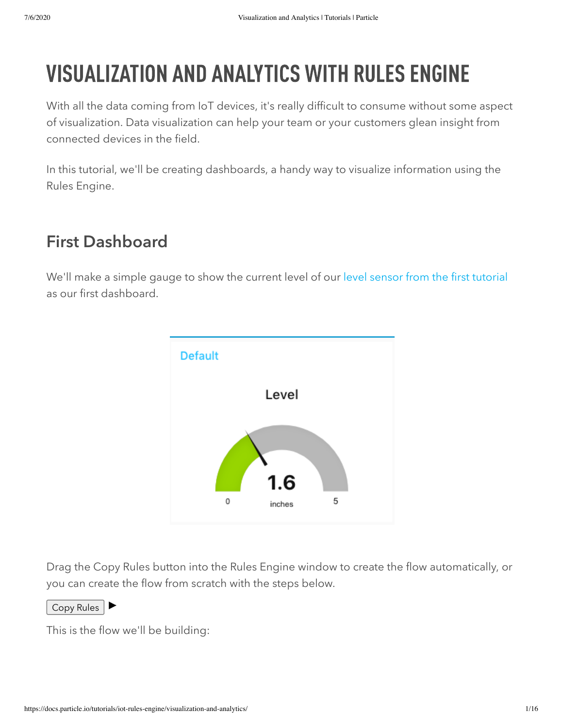# VISUALIZATION AND ANALYTICS WITH RULES ENGINE

With all the data coming from IoT devices, it's really difficult to consume without some aspect of visualization. Data visualization can help your team or your customers glean insight from connected devices in the field.

In this tutorial, we'll be creating dashboards, a handy way to visualize information using the Rules Engine.

## First Dashboard

We'll make a simple gauge to show the current level of our [level sensor from the first tutorial](https://docs.particle.io/tutorials/iot-rules-engine/real-time-alerting/) as our first dashboard.



Drag the Copy Rules button into the Rules Engine window to create the flow automatically, or you can create the flow from scratch with the steps below.

Copy Rules  $\blacktriangleright$ 

This is the flow we'll be building: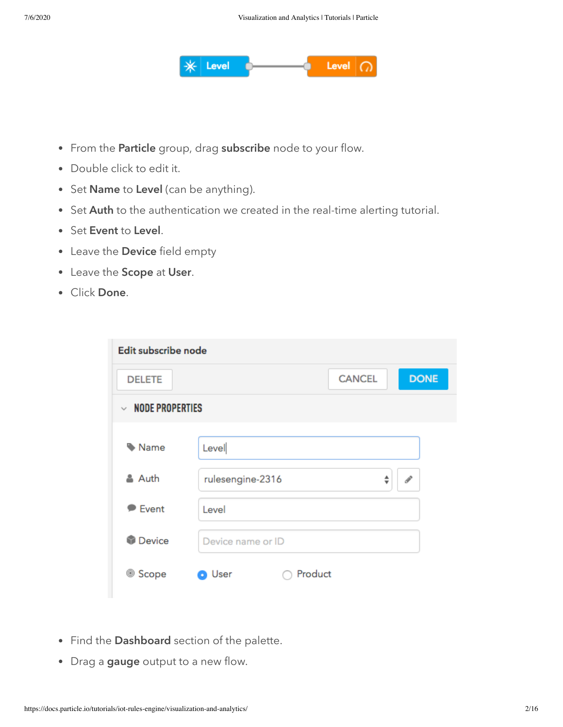

- From the Particle group, drag subscribe node to your flow.
- Double click to edit it.
- Set Name to Level (can be anything).
- Set Auth to the authentication we created in the real-time alerting tutorial.
- Set Event to Level.
- Leave the Device field empty
- Leave the Scope at User.
- Click Done.

| Edit subscribe node              |                              |  |
|----------------------------------|------------------------------|--|
| <b>DELETE</b>                    | <b>DONE</b><br><b>CANCEL</b> |  |
| <b>NODE PROPERTIES</b><br>$\sim$ |                              |  |
| Name                             |                              |  |
|                                  | Level                        |  |
| & Auth                           | rulesengine-2316<br>ℐ<br>÷   |  |
| <b>Event</b>                     | Level                        |  |
| <b>Device</b>                    | Device name or ID            |  |
| <sup>◎</sup> Scope               | Product<br>User              |  |
|                                  |                              |  |

- Find the Dashboard section of the palette.
- Drag a gauge output to a new flow.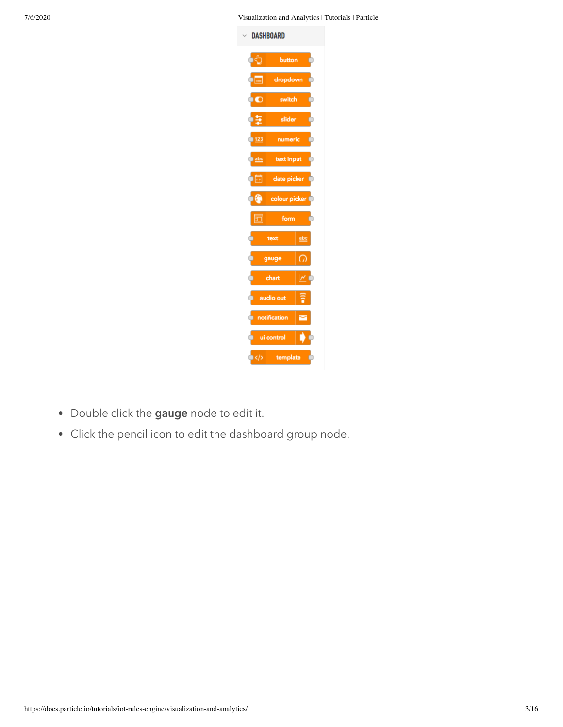7/6/2020 Visualization and Analytics | Tutorials | Particle



- Double click the gauge node to edit it.
- Click the pencil icon to edit the dashboard group node.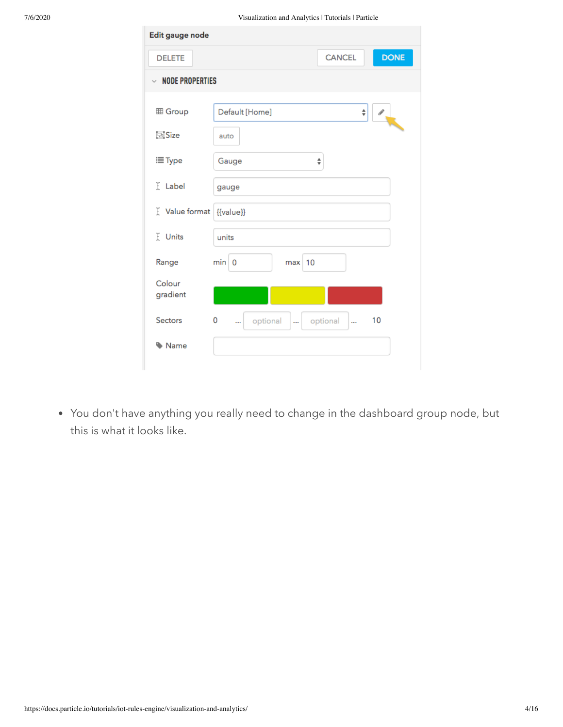| Edit gauge node        |                                                                                                      |  |
|------------------------|------------------------------------------------------------------------------------------------------|--|
| <b>DELETE</b>          | <b>DONE</b><br><b>CANCEL</b>                                                                         |  |
| $\vee$ node properties |                                                                                                      |  |
| <b>田 Group</b>         | Default [Home]<br>$\frac{\textcolor{red}{\blacktriangle}}{\textcolor{red}{\blacktriangledown}}$<br>P |  |
| 回Size                  | auto                                                                                                 |  |
| 三 Type                 | Gauge<br>÷                                                                                           |  |
| I Label                | gauge                                                                                                |  |
| I Value format         | {{value}}                                                                                            |  |
| I Units                | units                                                                                                |  |
| Range                  | min 0<br>$max$ 10                                                                                    |  |
| Colour<br>gradient     |                                                                                                      |  |
| <b>Sectors</b>         | 10<br>0<br>optional<br>optional<br><br><br>$\ddot{\phantom{a}}$                                      |  |
| Mame                   |                                                                                                      |  |

You don't have anything you really need to change in the dashboard group node, but this is what it looks like.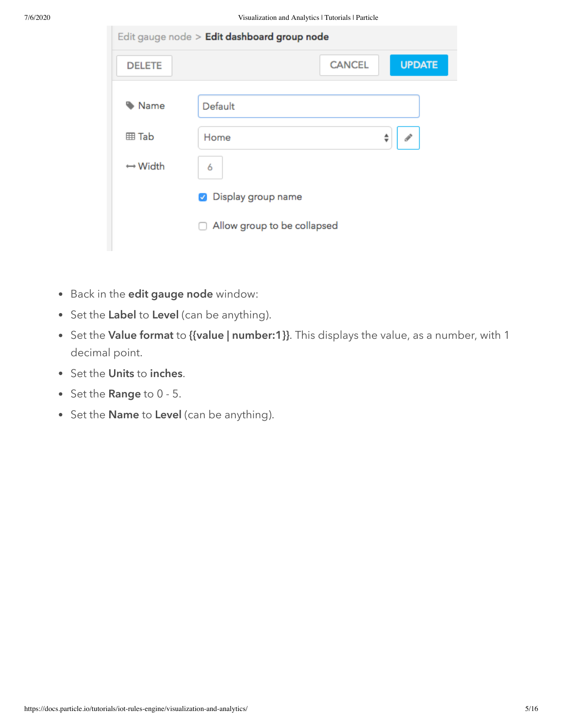| Edit gauge node > Edit dashboard group node |                                            |               |               |
|---------------------------------------------|--------------------------------------------|---------------|---------------|
| <b>DELETE</b>                               |                                            | <b>CANCEL</b> | <b>UPDATE</b> |
| Name                                        | Default                                    |               |               |
| <b>田 Tab</b>                                | Home                                       |               | ÷             |
| $\leftrightarrow$ Width                     | 6                                          |               |               |
|                                             | Display group name<br>$\blacktriangledown$ |               |               |
|                                             | Allow group to be collapsed<br>П           |               |               |
|                                             |                                            |               |               |

- Back in the edit gauge node window:
- Set the Label to Level (can be anything).
- Set the Value format to {{value | number:1}}. This displays the value, as a number, with 1 decimal point.
- Set the Units to inches.
- Set the Range to 0 5.
- Set the **Name** to Level (can be anything).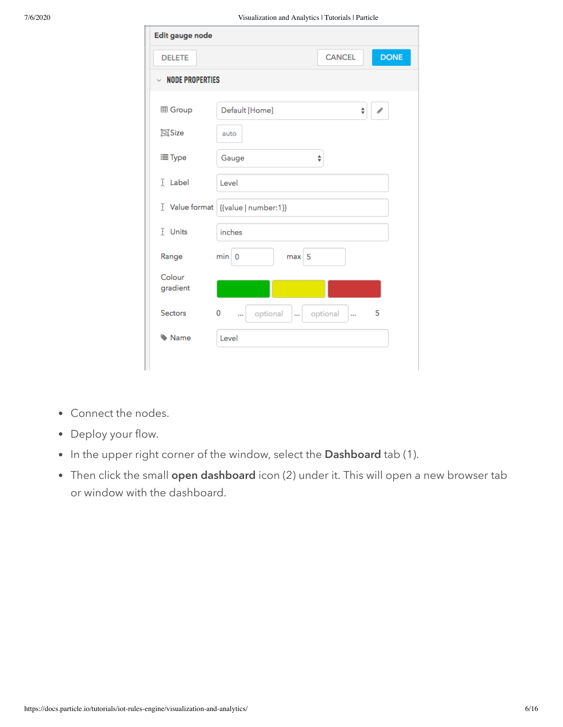|                        | roughtanon and rinary nos reacording reactions         |
|------------------------|--------------------------------------------------------|
| Edit gauge node        |                                                        |
| <b>DELETE</b>          | <b>DONE</b><br><b>CANCEL</b>                           |
| $\vee$ NODE PROPERTIES |                                                        |
| <b>田 Group</b>         | Default [Home]<br>$\div$<br>$\mathcal{P}$              |
| 回Size                  | auto                                                   |
| i≡ Type                | Gauge<br>$\frac{\text{A}}{\text{v}}$                   |
| I Label                | Level                                                  |
|                        | [ Value format   {{value   number:1}}                  |
| I Units                | inches                                                 |
| Range                  | min 0<br>max 5                                         |
| Colour<br>gradient     |                                                        |
| <b>Sectors</b>         | 0<br>5<br>optional<br>optional<br>$\ddotsc$<br><br>ùн. |
| Mame                   | Level                                                  |
|                        |                                                        |

- Connect the nodes.
- Deploy your flow.
- In the upper right corner of the window, select the Dashboard tab (1).
- Then click the small open dashboard icon (2) under it. This will open a new browser tab or window with the dashboard.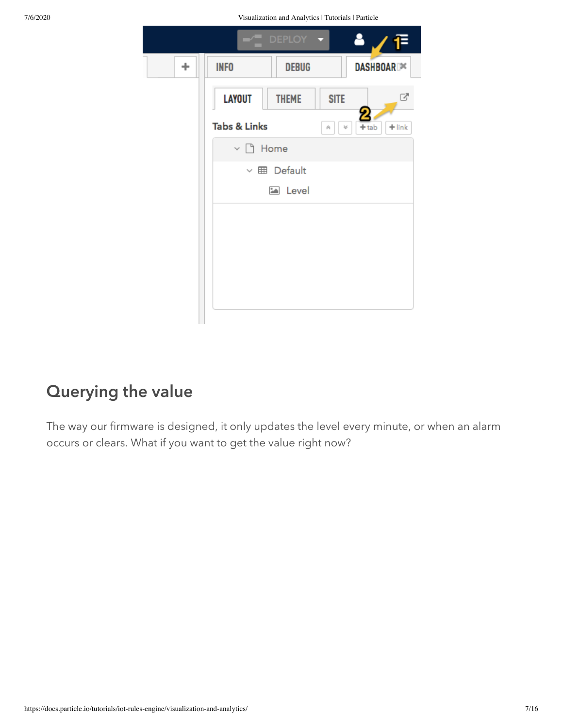7/6/2020 Visualization and Analytics | Tutorials | Particle

|   | DEPLOY -<br>H                                            |  |
|---|----------------------------------------------------------|--|
| ÷ | <b>INFO</b><br><b>DEBUG</b><br>DASHBOAR <sup>X</sup>     |  |
|   | ♂<br><b>LAYOUT</b><br><b>THEME</b><br><b>SITE</b>        |  |
|   | <b>Tabs &amp; Links</b><br>$+$ link<br>$+$ tab<br>×<br>粂 |  |
|   | $\vee$ $\Box$ Home                                       |  |
|   | $\vee \boxplus$ Default                                  |  |
|   | Level                                                    |  |
|   |                                                          |  |
|   |                                                          |  |
|   |                                                          |  |
|   |                                                          |  |
|   |                                                          |  |

## Querying the value

The way our firmware is designed, it only updates the level every minute, or when an alarm occurs or clears. What if you want to get the value right now?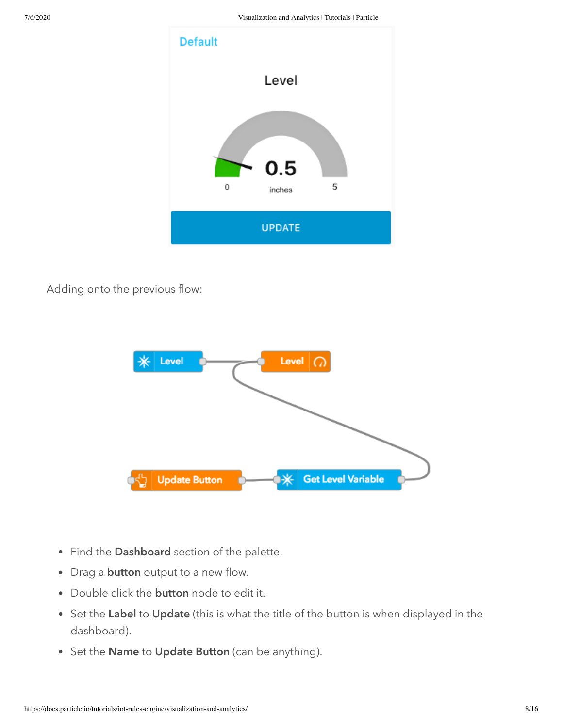

Adding onto the previous flow:



- Find the Dashboard section of the palette.
- Drag a **button** output to a new flow.
- Double click the **button** node to edit it.
- Set the Label to Update (this is what the title of the button is when displayed in the dashboard).
- Set the Name to Update Button (can be anything).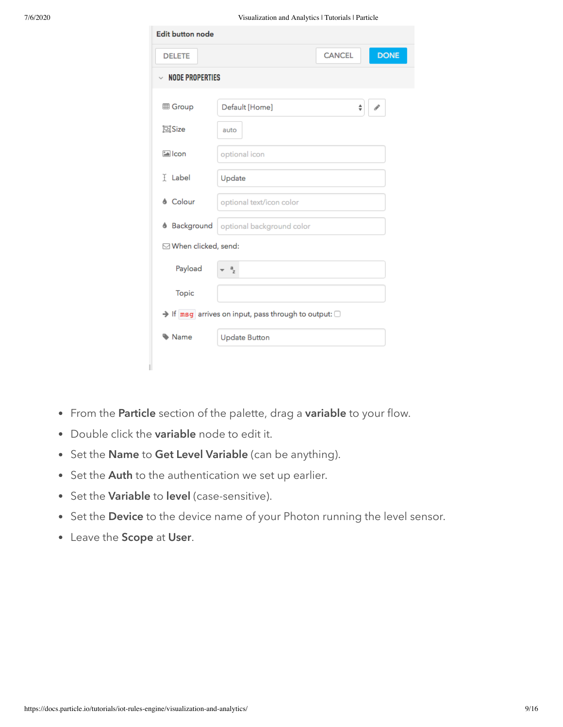| <b>Edit button node</b>                                               |                           |               |             |  |
|-----------------------------------------------------------------------|---------------------------|---------------|-------------|--|
| <b>DELETE</b>                                                         |                           | <b>CANCEL</b> | <b>DONE</b> |  |
| $\vee$ NODE PROPERTIES                                                |                           |               |             |  |
| <b>图 Group</b>                                                        | Default [Home]            | ÷             | ℐ           |  |
| 回Size                                                                 | auto                      |               |             |  |
| <b>Ealcon</b>                                                         | optional icon             |               |             |  |
| <b>F</b> Label                                                        | Update                    |               |             |  |
| <b>&amp; Colour</b>                                                   | optional text/icon color  |               |             |  |
| <b>&amp;</b> Background                                               | optional background color |               |             |  |
| ⊠ When clicked, send:                                                 |                           |               |             |  |
| Payload                                                               | $a$ <sub>z</sub>          |               |             |  |
| <b>Topic</b>                                                          |                           |               |             |  |
| $\rightarrow$ If msg arrives on input, pass through to output: $\Box$ |                           |               |             |  |
| Name                                                                  | <b>Update Button</b>      |               |             |  |
|                                                                       |                           |               |             |  |

- From the Particle section of the palette, drag a variable to your flow.
- Double click the variable node to edit it.
- Set the Name to Get Level Variable (can be anything).
- Set the Auth to the authentication we set up earlier.
- Set the Variable to level (case-sensitive).
- Set the Device to the device name of your Photon running the level sensor.
- Leave the Scope at User.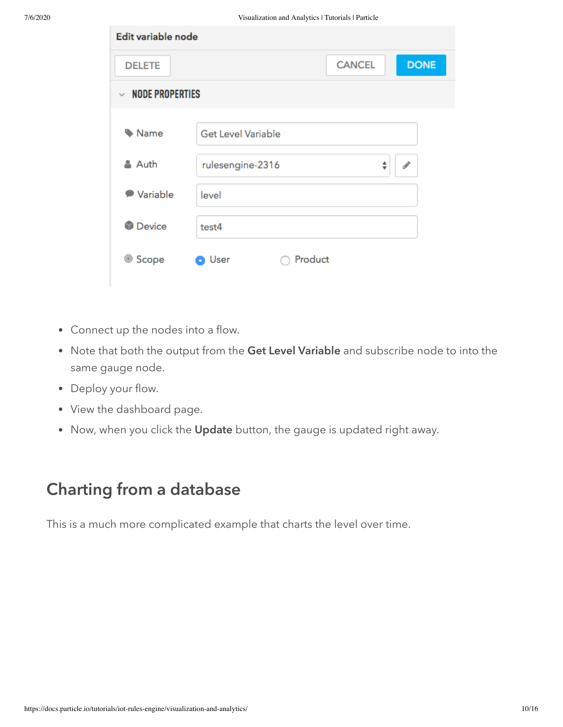| Edit variable node     |                                        |
|------------------------|----------------------------------------|
| <b>DELETE</b>          | <b>DONE</b><br><b>CANCEL</b>           |
| $\vee$ NODE PROPERTIES |                                        |
| Name                   | <b>Get Level Variable</b>              |
| & Auth                 | rulesengine-2316<br>$\mathcal{P}$<br>♦ |
| ● Variable             | level                                  |
| <b>Device</b>          | test4                                  |
| 0<br>Scope             | Product<br><b>O</b> User               |

- Connect up the nodes into a flow.
- Note that both the output from the Get Level Variable and subscribe node to into the same gauge node.
- Deploy your flow.
- View the dashboard page.
- Now, when you click the Update button, the gauge is updated right away.

#### Charting from a database

This is a much more complicated example that charts the level over time.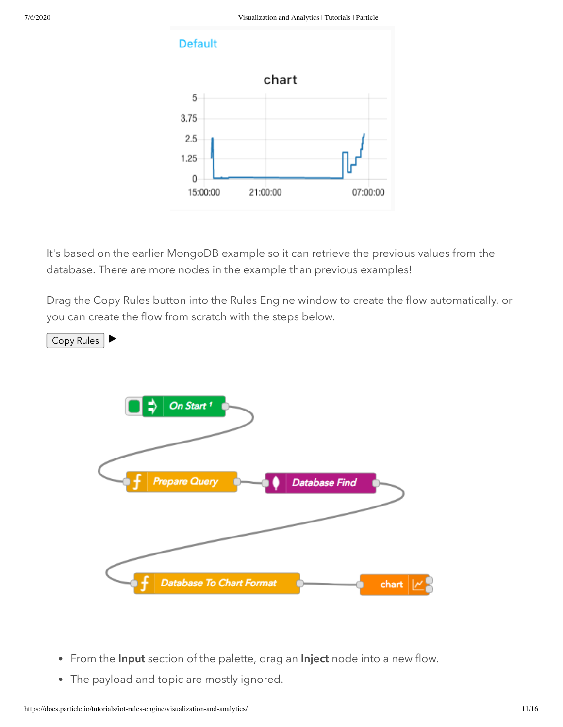#### **Default**



It's based on the earlier MongoDB example so it can retrieve the previous values from the database. There are more nodes in the example than previous examples!

Drag the Copy Rules button into the Rules Engine window to create the flow automatically, or you can create the flow from scratch with the steps below.



- From the Input section of the palette, drag an Inject node into a new flow.
- The payload and topic are mostly ignored.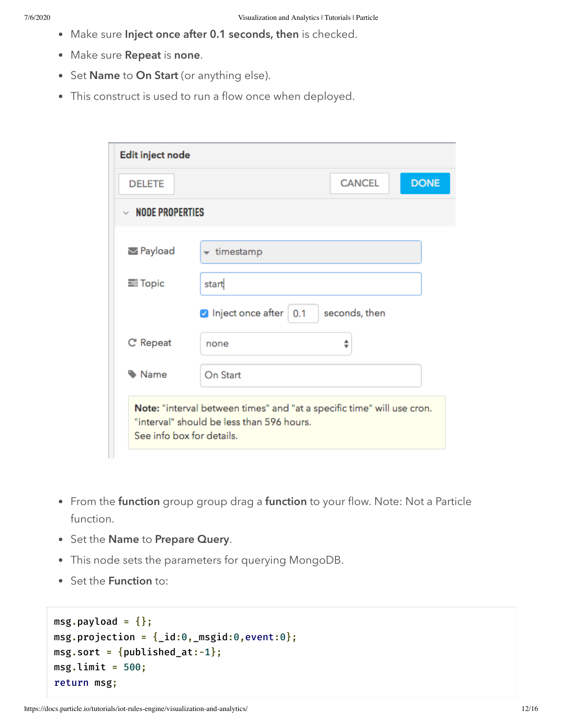- Make sure Inject once after 0.1 seconds, then is checked.
- Make sure Repeat is none.
- Set Name to On Start (or anything else).
- This construct is used to run a flow once when deployed.

| <b>DELETE</b>                                   |                                                                                                                     | <b>CANCEL</b> | <b>DONE</b> |
|-------------------------------------------------|---------------------------------------------------------------------------------------------------------------------|---------------|-------------|
| $~\vee~$ NODE PROPERTIES                        |                                                                                                                     |               |             |
| <b><math>\blacktriangleright</math></b> Payload | $\star$ timestamp                                                                                                   |               |             |
| <b>三 Topic</b>                                  | start                                                                                                               |               |             |
|                                                 | $\triangledown$ Inject once after $\mid$ 0.1                                                                        | seconds, then |             |
| C' Repeat                                       | none                                                                                                                |               |             |
| Mame                                            | On Start                                                                                                            |               |             |
| See info box for details.                       | Note: "interval between times" and "at a specific time" will use cron.<br>"interval" should be less than 596 hours. |               |             |

- From the function group group drag a function to your flow. Note: Not a Particle function.
- Set the Name to Prepare Query.
- This node sets the parameters for querying MongoDB.
- Set the Function to:

```
msg.payload = \{\};msg.projection = \{\_id:0, _msgid:0, event:0\};msg.sort = \{published_at:-1\};msgu.limit = 500;
return msg;
```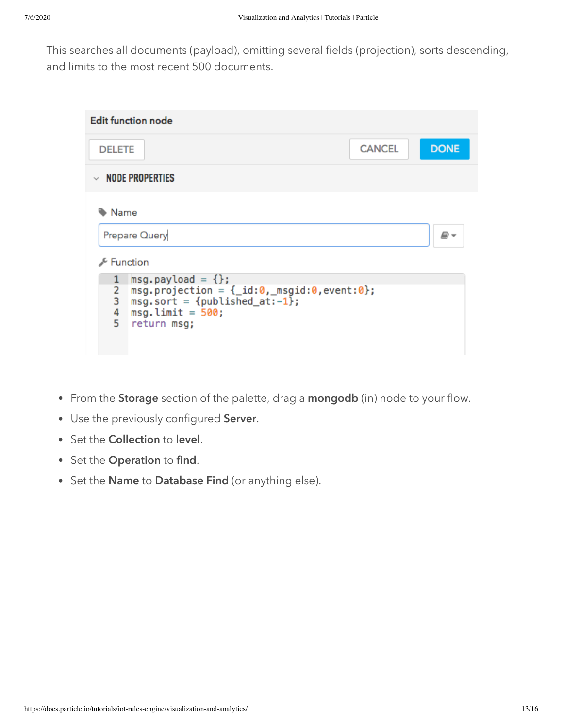This searches all documents (payload), omitting several fields (projection), sorts descending, and limits to the most recent 500 documents.

| <b>Edit function node</b>                                                                                                                                                              |               |             |  |  |
|----------------------------------------------------------------------------------------------------------------------------------------------------------------------------------------|---------------|-------------|--|--|
| <b>DELETE</b>                                                                                                                                                                          | <b>CANCEL</b> | <b>DONE</b> |  |  |
| $\vee$ node properties                                                                                                                                                                 |               |             |  |  |
| Name<br>Prepare Query                                                                                                                                                                  |               | ø-          |  |  |
| Function<br>$msg.payload = \{\};$<br>1<br>$msg.projection = \{_id:0, msg_id:0, event:0\};$<br>2<br>3<br>$msg.sort = {publiched_at:-1};$<br>4<br>$msg-limit = 500;$<br>5<br>return msg; |               |             |  |  |

- From the Storage section of the palette, drag a mongodb (in) node to your flow.
- Use the previously configured Server.
- Set the Collection to level.
- Set the Operation to find.
- Set the Name to Database Find (or anything else).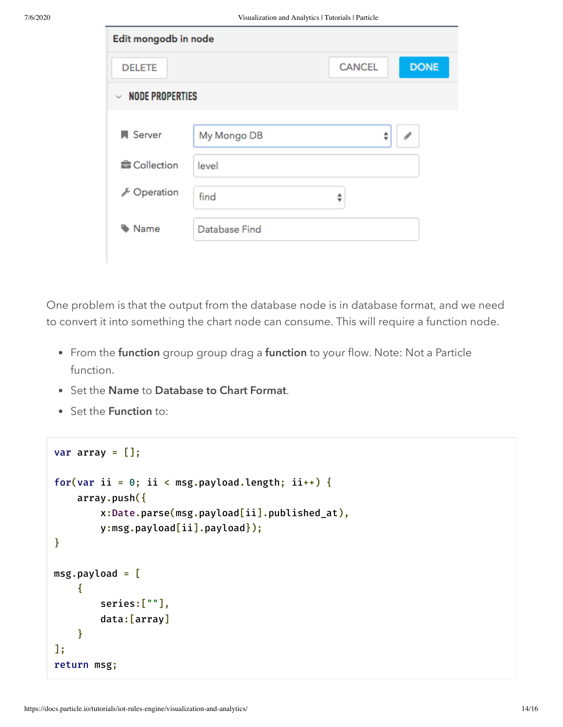| Edit mongodb in node                    |               |                               |               |
|-----------------------------------------|---------------|-------------------------------|---------------|
| <b>DELETE</b>                           |               | <b>CANCEL</b>                 | <b>DONE</b>   |
| <b>NODE PROPERTIES</b><br>$\mathcal{L}$ |               |                               |               |
|                                         |               |                               |               |
| <b>N</b> Server                         | My Mongo DB   | ÷                             | $\mathcal{P}$ |
| <b>E</b> Collection                     | level         |                               |               |
| C Operation                             | find          | ▲<br>$\overline{\phantom{a}}$ |               |
| Name                                    | Database Find |                               |               |
|                                         |               |                               |               |

One problem is that the output from the database node is in database format, and we need to convert it into something the chart node can consume. This will require a function node.

- From the function group group drag a function to your flow. Note: Not a Particle function.
- Set the Name to Database to Chart Format.
- Set the **Function** to:

```
var array = [];
for(var ii = 0; ii < msg.payload.length; ii++) {
    array.push({
        x:Date.parse(msg.payload[ii].published_at),
        y:msg.payload[ii].payload});
}
msg.payload = [
    {
        series:[""],
        data:[array]
    }
];
return msg;
```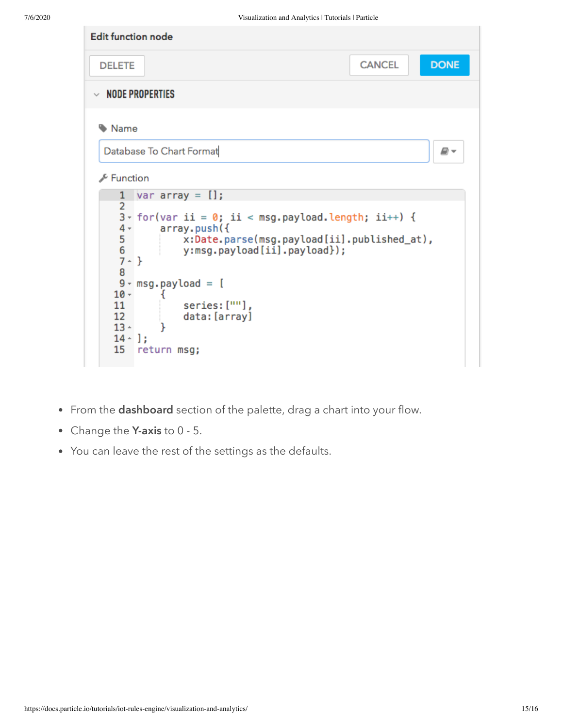

- From the **dashboard** section of the palette, drag a chart into your flow.
- Change the Y-axis to 0 5.
- You can leave the rest of the settings as the defaults.